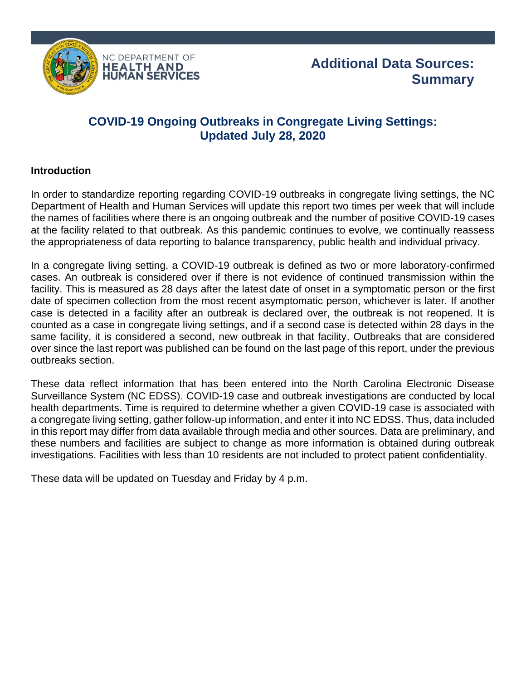

## **COVID-19 Ongoing Outbreaks in Congregate Living Settings: Updated July 28, 2020**

## **Introduction**

In order to standardize reporting regarding COVID-19 outbreaks in congregate living settings, the NC Department of Health and Human Services will update this report two times per week that will include the names of facilities where there is an ongoing outbreak and the number of positive COVID-19 cases at the facility related to that outbreak. As this pandemic continues to evolve, we continually reassess the appropriateness of data reporting to balance transparency, public health and individual privacy.

In a congregate living setting, a COVID-19 outbreak is defined as two or more laboratory-confirmed cases. An outbreak is considered over if there is not evidence of continued transmission within the facility. This is measured as 28 days after the latest date of onset in a symptomatic person or the first date of specimen collection from the most recent asymptomatic person, whichever is later. If another case is detected in a facility after an outbreak is declared over, the outbreak is not reopened. It is counted as a case in congregate living settings, and if a second case is detected within 28 days in the same facility, it is considered a second, new outbreak in that facility. Outbreaks that are considered over since the last report was published can be found on the last page of this report, under the previous outbreaks section.

These data reflect information that has been entered into the North Carolina Electronic Disease Surveillance System (NC EDSS). COVID-19 case and outbreak investigations are conducted by local health departments. Time is required to determine whether a given COVID-19 case is associated with a congregate living setting, gather follow-up information, and enter it into NC EDSS. Thus, data included in this report may differ from data available through media and other sources. Data are preliminary, and these numbers and facilities are subject to change as more information is obtained during outbreak investigations. Facilities with less than 10 residents are not included to protect patient confidentiality.

These data will be updated on Tuesday and Friday by 4 p.m.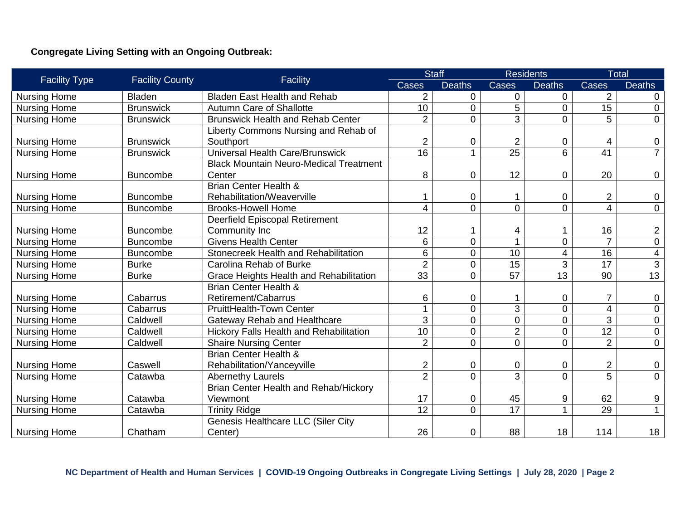## **Congregate Living Setting with an Ongoing Outbreak:**

|                      |                        |                                                |                         | <b>Staff</b>   | <b>Residents</b> |                | <b>Total</b>             |                         |
|----------------------|------------------------|------------------------------------------------|-------------------------|----------------|------------------|----------------|--------------------------|-------------------------|
| <b>Facility Type</b> | <b>Facility County</b> | Facility                                       | <b>Cases</b>            | <b>Deaths</b>  | Cases            | <b>Deaths</b>  | Cases                    | <b>Deaths</b>           |
| <b>Nursing Home</b>  | <b>Bladen</b>          | <b>Bladen East Health and Rehab</b>            | $\overline{2}$          | $\overline{0}$ | 0                | $\overline{0}$ | $\overline{2}$           | $\Omega$                |
| <b>Nursing Home</b>  | <b>Brunswick</b>       | <b>Autumn Care of Shallotte</b>                | 10                      | $\overline{0}$ | 5                | $\overline{0}$ | 15                       | $\Omega$                |
| <b>Nursing Home</b>  | <b>Brunswick</b>       | <b>Brunswick Health and Rehab Center</b>       | $\overline{2}$          | $\overline{0}$ | 3                | 0              | 5                        | $\overline{0}$          |
|                      |                        | Liberty Commons Nursing and Rehab of           |                         |                |                  |                |                          |                         |
| <b>Nursing Home</b>  | <b>Brunswick</b>       | Southport                                      | 2                       | $\mathbf 0$    | $\overline{c}$   | $\mathbf 0$    | 4                        | $\mathbf 0$             |
| <b>Nursing Home</b>  | <b>Brunswick</b>       | Universal Health Care/Brunswick                | 16                      |                | 25               | 6              | 41                       | $\overline{7}$          |
|                      |                        | <b>Black Mountain Neuro-Medical Treatment</b>  |                         |                |                  |                |                          |                         |
| <b>Nursing Home</b>  | <b>Buncombe</b>        | Center                                         | 8                       | $\overline{0}$ | 12               | 0              | 20                       | $\mathbf 0$             |
|                      |                        | <b>Brian Center Health &amp;</b>               |                         |                |                  |                |                          |                         |
| <b>Nursing Home</b>  | <b>Buncombe</b>        | Rehabilitation/Weaverville                     |                         | $\overline{0}$ |                  | 0              | $\overline{\mathbf{c}}$  | $\boldsymbol{0}$        |
| <b>Nursing Home</b>  | <b>Buncombe</b>        | <b>Brooks-Howell Home</b>                      | 4                       | $\mathbf 0$    | 0                | $\overline{0}$ | $\overline{\mathbf{4}}$  | $\mathbf 0$             |
|                      |                        | <b>Deerfield Episcopal Retirement</b>          |                         |                |                  |                |                          |                         |
| <b>Nursing Home</b>  | <b>Buncombe</b>        | Community Inc                                  | 12                      |                | 4                | 1              | 16                       | $\overline{2}$          |
| <b>Nursing Home</b>  | <b>Buncombe</b>        | <b>Givens Health Center</b>                    | 6                       | $\overline{0}$ | 4                | $\mathbf 0$    | $\overline{7}$           | $\overline{0}$          |
| <b>Nursing Home</b>  | <b>Buncombe</b>        | Stonecreek Health and Rehabilitation           | $6\phantom{1}$          | $\overline{0}$ | 10               | 4              | 16                       | $\overline{\mathbf{4}}$ |
| <b>Nursing Home</b>  | <b>Burke</b>           | Carolina Rehab of Burke                        | $\overline{2}$          | $\overline{0}$ | $\overline{15}$  | 3              | 17                       | $\overline{3}$          |
| <b>Nursing Home</b>  | <b>Burke</b>           | Grace Heights Health and Rehabilitation        | 33                      | $\overline{0}$ | $\overline{57}$  | 13             | 90                       | $\overline{13}$         |
|                      |                        | <b>Brian Center Health &amp;</b>               |                         |                |                  |                |                          |                         |
| <b>Nursing Home</b>  | Cabarrus               | Retirement/Cabarrus                            | 6                       | $\mathbf 0$    |                  | $\mathbf 0$    | $\overline{7}$           | $\mathbf 0$             |
| <b>Nursing Home</b>  | Cabarrus               | <b>PruittHealth-Town Center</b>                | $\overline{\mathbf{A}}$ | $\overline{0}$ | 3                | $\overline{0}$ | $\overline{\mathcal{A}}$ | $\mathbf 0$             |
| <b>Nursing Home</b>  | Caldwell               | <b>Gateway Rehab and Healthcare</b>            | 3                       | $\overline{0}$ | 0                | $\mathbf 0$    | 3                        | $\mathbf 0$             |
| <b>Nursing Home</b>  | Caldwell               | <b>Hickory Falls Health and Rehabilitation</b> | 10                      | $\overline{0}$ | $\overline{2}$   | $\overline{0}$ | $\overline{12}$          | $\mathbf 0$             |
| <b>Nursing Home</b>  | Caldwell               | <b>Shaire Nursing Center</b>                   | $\overline{2}$          | $\overline{0}$ | $\overline{0}$   | $\overline{0}$ | $\overline{2}$           | $\overline{0}$          |
|                      |                        | <b>Brian Center Health &amp;</b>               |                         |                |                  |                |                          |                         |
| <b>Nursing Home</b>  | Caswell                | Rehabilitation/Yanceyville                     | 2                       | $\mathbf 0$    | 0                | $\mathbf 0$    | $\overline{2}$           | $\mathbf 0$             |
| <b>Nursing Home</b>  | Catawba                | <b>Abernethy Laurels</b>                       | $\overline{2}$          | $\overline{0}$ | 3                | $\overline{0}$ | $\overline{5}$           | $\overline{0}$          |
|                      |                        | <b>Brian Center Health and Rehab/Hickory</b>   |                         |                |                  |                |                          |                         |
| <b>Nursing Home</b>  | Catawba                | Viewmont                                       | 17                      | $\mathbf 0$    | 45               | 9              | 62                       | 9                       |
| <b>Nursing Home</b>  | Catawba                | <b>Trinity Ridge</b>                           | 12                      | $\overline{0}$ | 17               |                | 29                       | $\mathbf{1}$            |
|                      |                        | <b>Genesis Healthcare LLC (Siler City</b>      |                         |                |                  |                |                          |                         |
| <b>Nursing Home</b>  | Chatham                | Center)                                        | 26                      | $\mathbf 0$    | 88               | 18             | 114                      | 18                      |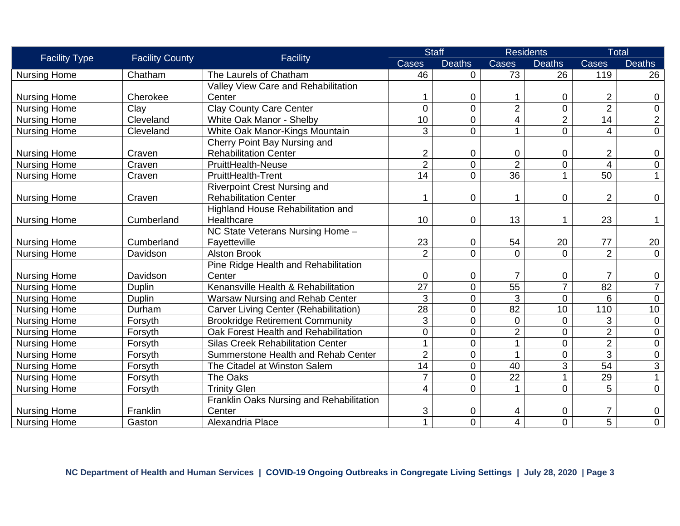| <b>Facility Type</b> | <b>Facility County</b> | Facility                                 | <b>Staff</b>    |                | <b>Residents</b> |                | <b>Total</b>            |                |
|----------------------|------------------------|------------------------------------------|-----------------|----------------|------------------|----------------|-------------------------|----------------|
|                      |                        |                                          | Cases           | <b>Deaths</b>  | Cases            | <b>Deaths</b>  | Cases                   | <b>Deaths</b>  |
| <b>Nursing Home</b>  | Chatham                | The Laurels of Chatham                   | 46              | $\overline{0}$ | 73               | 26             | 119                     | 26             |
|                      |                        | Valley View Care and Rehabilitation      |                 |                |                  |                |                         |                |
| <b>Nursing Home</b>  | Cherokee               | Center                                   |                 | $\mathbf 0$    |                  | 0              | $\overline{2}$          | 0              |
| <b>Nursing Home</b>  | Clay                   | <b>Clay County Care Center</b>           | $\overline{0}$  | $\overline{0}$ | $\overline{2}$   | $\overline{0}$ | $\overline{2}$          | $\mathbf 0$    |
| <b>Nursing Home</b>  | Cleveland              | White Oak Manor - Shelby                 | 10              | $\overline{0}$ | 4                | $\overline{2}$ | $\overline{14}$         | $\overline{2}$ |
| <b>Nursing Home</b>  | Cleveland              | White Oak Manor-Kings Mountain           | 3               | $\Omega$       |                  | 0              | $\overline{4}$          | $\overline{0}$ |
|                      |                        | Cherry Point Bay Nursing and             |                 |                |                  |                |                         |                |
| <b>Nursing Home</b>  | Craven                 | <b>Rehabilitation Center</b>             | $\overline{2}$  | $\mathbf 0$    | 0                | $\mathbf 0$    | $\overline{2}$          | $\mathbf 0$    |
| <b>Nursing Home</b>  | Craven                 | <b>PruittHealth-Neuse</b>                | $\overline{2}$  | $\overline{0}$ | $\overline{2}$   | 0              | $\overline{\mathbf{4}}$ | $\pmb{0}$      |
| <b>Nursing Home</b>  | Craven                 | <b>PruittHealth-Trent</b>                | $\overline{14}$ | $\Omega$       | $\overline{36}$  |                | 50                      | $\mathbf{1}$   |
|                      |                        | <b>Riverpoint Crest Nursing and</b>      |                 |                |                  |                |                         |                |
| <b>Nursing Home</b>  | Craven                 | <b>Rehabilitation Center</b>             |                 | $\overline{0}$ |                  | 0              | $\overline{2}$          | $\mathbf 0$    |
|                      |                        | Highland House Rehabilitation and        |                 |                |                  |                |                         |                |
| <b>Nursing Home</b>  | Cumberland             | Healthcare                               | 10              | $\mathbf 0$    | 13               |                | 23                      | 1              |
|                      |                        | NC State Veterans Nursing Home -         |                 |                |                  |                |                         |                |
| <b>Nursing Home</b>  | Cumberland             | Fayetteville                             | 23              | $\mathbf 0$    | 54               | 20             | 77                      | 20             |
| <b>Nursing Home</b>  | Davidson               | <b>Alston Brook</b>                      | $\overline{2}$  | $\overline{0}$ | $\overline{0}$   | $\overline{0}$ | $\overline{2}$          | $\mathbf 0$    |
|                      |                        | Pine Ridge Health and Rehabilitation     |                 |                |                  |                |                         |                |
| <b>Nursing Home</b>  | Davidson               | Center                                   | 0               | $\mathbf 0$    | $\overline{7}$   | 0              | $\overline{7}$          | $\mathbf 0$    |
| <b>Nursing Home</b>  | Duplin                 | Kenansville Health & Rehabilitation      | $\overline{27}$ | $\overline{0}$ | $\overline{55}$  | $\overline{7}$ | 82                      | $\overline{7}$ |
| <b>Nursing Home</b>  | Duplin                 | Warsaw Nursing and Rehab Center          | 3               | $\overline{0}$ | 3                | $\mathbf 0$    | 6                       | $\mathbf 0$    |
| <b>Nursing Home</b>  | Durham                 | Carver Living Center (Rehabilitation)    | $\overline{28}$ | $\overline{0}$ | $\overline{82}$  | 10             | 110                     | 10             |
| <b>Nursing Home</b>  | Forsyth                | <b>Brookridge Retirement Community</b>   | 3               | $\overline{0}$ | $\mathbf 0$      | $\mathbf 0$    | 3                       | $\mathbf 0$    |
| <b>Nursing Home</b>  | Forsyth                | Oak Forest Health and Rehabilitation     | $\overline{0}$  | $\overline{0}$ | $\overline{2}$   | $\overline{0}$ | $\overline{2}$          | $\mathbf 0$    |
| <b>Nursing Home</b>  | Forsyth                | <b>Silas Creek Rehabilitation Center</b> |                 | $\overline{0}$ |                  | 0              | $\overline{2}$          | $\pmb{0}$      |
| <b>Nursing Home</b>  | Forsyth                | Summerstone Health and Rehab Center      | $\overline{2}$  | $\overline{0}$ |                  | 0              | 3                       | $\mathbf 0$    |
| <b>Nursing Home</b>  | Forsyth                | The Citadel at Winston Salem             | 14              | $\overline{0}$ | 40               | 3              | 54                      | 3              |
| <b>Nursing Home</b>  | Forsyth                | The Oaks                                 | $\overline{7}$  | $\overline{0}$ | $\overline{22}$  | 1              | $\overline{29}$         | $\overline{1}$ |
| <b>Nursing Home</b>  | Forsyth                | <b>Trinity Glen</b>                      | $\overline{4}$  | $\Omega$       |                  | 0              | 5                       | $\mathbf 0$    |
|                      |                        | Franklin Oaks Nursing and Rehabilitation |                 |                |                  |                |                         |                |
| <b>Nursing Home</b>  | Franklin               | Center                                   | 3               | 0              | 4                | 0              |                         | 0              |
| <b>Nursing Home</b>  | Gaston                 | Alexandria Place                         | 1               | $\Omega$       | $\overline{4}$   | $\overline{0}$ | $\overline{5}$          | $\overline{0}$ |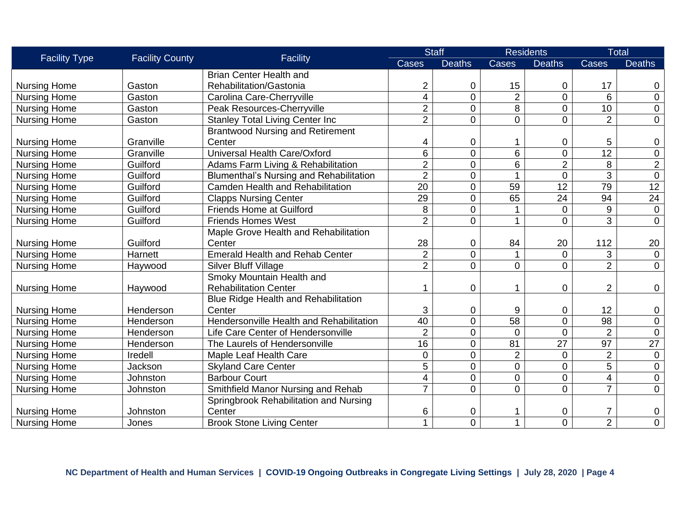| <b>Facility Type</b> | <b>Facility County</b> | Facility                                       | <b>Staff</b>    |                | <b>Residents</b> |                  | <b>Total</b>            |                 |
|----------------------|------------------------|------------------------------------------------|-----------------|----------------|------------------|------------------|-------------------------|-----------------|
|                      |                        |                                                | Cases           | <b>Deaths</b>  | Cases            | <b>Deaths</b>    | Cases                   | <b>Deaths</b>   |
|                      |                        | <b>Brian Center Health and</b>                 |                 |                |                  |                  |                         |                 |
| <b>Nursing Home</b>  | Gaston                 | Rehabilitation/Gastonia                        | 2               | $\mathbf 0$    | 15               | 0                | 17                      | 0               |
| <b>Nursing Home</b>  | Gaston                 | Carolina Care-Cherryville                      | 4               | $\overline{0}$ | $\overline{2}$   | $\overline{0}$   | 6                       | $\mathbf 0$     |
| <b>Nursing Home</b>  | Gaston                 | Peak Resources-Cherryville                     | $\overline{2}$  | $\overline{0}$ | $\overline{8}$   | $\overline{0}$   | 10                      | $\mathbf 0$     |
| <b>Nursing Home</b>  | Gaston                 | <b>Stanley Total Living Center Inc</b>         | $\overline{2}$  | $\overline{0}$ | $\overline{0}$   | 0                | $\overline{2}$          | $\mathbf 0$     |
|                      |                        | <b>Brantwood Nursing and Retirement</b>        |                 |                |                  |                  |                         |                 |
| <b>Nursing Home</b>  | Granville              | Center                                         | 4               | $\mathbf 0$    |                  | 0                | 5                       | 0               |
| <b>Nursing Home</b>  | Granville              | Universal Health Care/Oxford                   | 6               | $\overline{0}$ | 6                | $\overline{0}$   | $\overline{12}$         | $\pmb{0}$       |
| <b>Nursing Home</b>  | Guilford               | Adams Farm Living & Rehabilitation             | $\overline{2}$  | $\overline{0}$ | 6                | $\overline{2}$   | 8                       | $\overline{2}$  |
| <b>Nursing Home</b>  | Guilford               | <b>Blumenthal's Nursing and Rehabilitation</b> | $\overline{2}$  | 0              |                  | $\overline{0}$   | $\overline{3}$          | $\overline{0}$  |
| <b>Nursing Home</b>  | Guilford               | Camden Health and Rehabilitation               | 20              | $\overline{0}$ | 59               | 12               | 79                      | $\overline{12}$ |
| <b>Nursing Home</b>  | Guilford               | <b>Clapps Nursing Center</b>                   | 29              | 0              | 65               | $\overline{24}$  | 94                      | 24              |
| <b>Nursing Home</b>  | Guilford               | <b>Friends Home at Guilford</b>                | 8               | $\mathbf 0$    |                  | $\boldsymbol{0}$ | 9                       | $\mathbf 0$     |
| <b>Nursing Home</b>  | Guilford               | <b>Friends Homes West</b>                      | $\overline{2}$  | $\overline{0}$ |                  | $\overline{0}$   | $\overline{3}$          | $\mathbf 0$     |
|                      |                        | Maple Grove Health and Rehabilitation          |                 |                |                  |                  |                         |                 |
| <b>Nursing Home</b>  | Guilford               | Center                                         | 28              | $\mathbf 0$    | 84               | 20               | 112                     | 20              |
| <b>Nursing Home</b>  | Harnett                | <b>Emerald Health and Rehab Center</b>         | $\overline{2}$  | 0              |                  | 0                | 3                       | $\mathbf 0$     |
| <b>Nursing Home</b>  | Haywood                | <b>Silver Bluff Village</b>                    | $\overline{2}$  | $\overline{0}$ | $\overline{0}$   | $\overline{0}$   | $\overline{2}$          | $\overline{0}$  |
|                      |                        | Smoky Mountain Health and                      |                 |                |                  |                  |                         |                 |
| <b>Nursing Home</b>  | Haywood                | <b>Rehabilitation Center</b>                   |                 | $\overline{0}$ |                  | 0                | $\overline{2}$          | $\mathbf 0$     |
|                      |                        | Blue Ridge Health and Rehabilitation           |                 |                |                  |                  |                         |                 |
| <b>Nursing Home</b>  | Henderson              | Center                                         | 3               | $\mathbf 0$    | 9                | 0                | 12                      | 0               |
| <b>Nursing Home</b>  | Henderson              | Hendersonville Health and Rehabilitation       | $\overline{40}$ | $\mathbf 0$    | $\overline{58}$  | $\overline{0}$   | 98                      | $\pmb{0}$       |
| <b>Nursing Home</b>  | Henderson              | Life Care Center of Hendersonville             | $\overline{2}$  | $\overline{0}$ | $\Omega$         | 0                | $\overline{2}$          | $\mathbf 0$     |
| <b>Nursing Home</b>  | Henderson              | The Laurels of Hendersonville                  | $\overline{16}$ | $\overline{0}$ | 81               | $\overline{27}$  | $\overline{97}$         | $\overline{27}$ |
| <b>Nursing Home</b>  | Iredell                | Maple Leaf Health Care                         | 0               | 0              | $\overline{2}$   | 0                | $\overline{2}$          | $\overline{0}$  |
| <b>Nursing Home</b>  | Jackson                | <b>Skyland Care Center</b>                     | 5               | $\overline{0}$ | $\overline{0}$   | $\overline{0}$   | 5                       | $\mathbf 0$     |
| <b>Nursing Home</b>  | Johnston               | <b>Barbour Court</b>                           | 4               | $\mathbf 0$    | 0                | 0                | $\overline{\mathbf{4}}$ | $\mathbf 0$     |
| <b>Nursing Home</b>  | Johnston               | Smithfield Manor Nursing and Rehab             | $\overline{7}$  | 0              | $\mathbf 0$      | $\overline{0}$   | $\overline{7}$          | $\pmb{0}$       |
|                      |                        | Springbrook Rehabilitation and Nursing         |                 |                |                  |                  |                         |                 |
| <b>Nursing Home</b>  | Johnston               | Center                                         | 6               | $\mathbf 0$    |                  | 0                | 7                       | $\pmb{0}$       |
| <b>Nursing Home</b>  | Jones                  | <b>Brook Stone Living Center</b>               |                 | 0              | $\mathbf{1}$     | $\overline{0}$   | $\overline{2}$          | $\mathbf 0$     |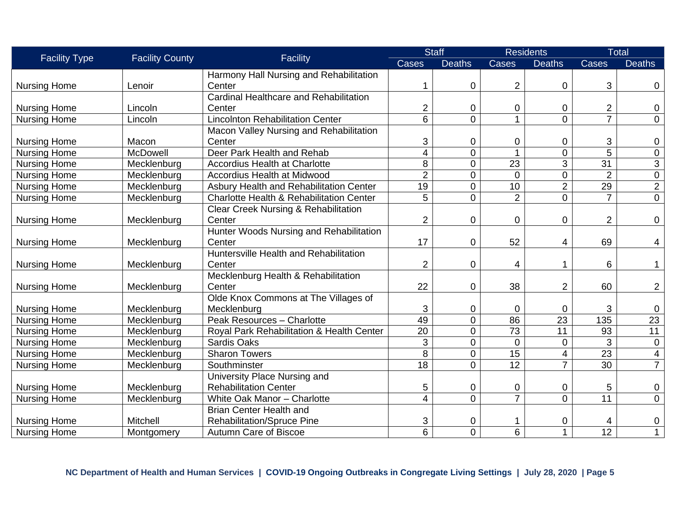| <b>Facility Type</b> | <b>Facility County</b> | Facility                                            | <b>Staff</b>   |                | <b>Residents</b> |                 | <b>Total</b>              |                 |
|----------------------|------------------------|-----------------------------------------------------|----------------|----------------|------------------|-----------------|---------------------------|-----------------|
|                      |                        |                                                     | <b>Cases</b>   | <b>Deaths</b>  | Cases            | <b>Deaths</b>   | Cases                     | <b>Deaths</b>   |
|                      |                        | Harmony Hall Nursing and Rehabilitation             |                |                |                  |                 |                           |                 |
| <b>Nursing Home</b>  | Lenoir                 | Center                                              |                | $\mathbf 0$    | 2                | 0               | 3                         | 0               |
|                      |                        | Cardinal Healthcare and Rehabilitation              |                |                |                  |                 |                           |                 |
| <b>Nursing Home</b>  | Lincoln                | Center                                              | 2              | 0              | 0                | 0               | $\overline{2}$            | 0               |
| <b>Nursing Home</b>  | Lincoln                | <b>Lincolnton Rehabilitation Center</b>             | 6              | 0              | 1                | $\overline{0}$  | $\overline{7}$            | $\mathbf 0$     |
|                      |                        | Macon Valley Nursing and Rehabilitation             |                |                |                  |                 |                           |                 |
| <b>Nursing Home</b>  | Macon                  | Center                                              | 3              | $\mathbf 0$    | 0                | 0               | $\ensuremath{\mathsf{3}}$ | 0               |
| <b>Nursing Home</b>  | McDowell               | Deer Park Health and Rehab                          | 4              | $\mathbf 0$    |                  | $\mathbf 0$     | 5                         | $\mathbf 0$     |
| <b>Nursing Home</b>  | Mecklenburg            | <b>Accordius Health at Charlotte</b>                | 8              | $\overline{0}$ | 23               | 3               | $\overline{31}$           | $\mathfrak{S}$  |
| <b>Nursing Home</b>  | Mecklenburg            | Accordius Health at Midwood                         | $\overline{2}$ | $\mathbf 0$    | $\overline{0}$   | $\mathsf 0$     | $\overline{2}$            | $\overline{0}$  |
| <b>Nursing Home</b>  | Mecklenburg            | Asbury Health and Rehabilitation Center             | 19             | 0              | 10               | $\overline{2}$  | 29                        | $\overline{2}$  |
| <b>Nursing Home</b>  | Mecklenburg            | <b>Charlotte Health &amp; Rehabilitation Center</b> | 5              | $\overline{0}$ | $\overline{2}$   | $\overline{0}$  | $\overline{7}$            | $\mathbf 0$     |
|                      |                        | <b>Clear Creek Nursing &amp; Rehabilitation</b>     |                |                |                  |                 |                           |                 |
| <b>Nursing Home</b>  | Mecklenburg            | Center                                              | $\overline{2}$ | $\mathbf 0$    | 0                | 0               | $\overline{2}$            | 0               |
|                      |                        | Hunter Woods Nursing and Rehabilitation             |                |                |                  |                 |                           |                 |
| <b>Nursing Home</b>  | Mecklenburg            | Center                                              | 17             | $\mathbf 0$    | 52               | 4               | 69                        | $\overline{4}$  |
|                      |                        | Huntersville Health and Rehabilitation              |                |                |                  |                 |                           |                 |
| <b>Nursing Home</b>  | Mecklenburg            | Center                                              | $\overline{2}$ | 0              | 4                | 1               | 6                         | $\mathbf{1}$    |
|                      |                        | Mecklenburg Health & Rehabilitation                 |                |                |                  |                 |                           |                 |
| <b>Nursing Home</b>  | Mecklenburg            | Center                                              | 22             | $\mathbf 0$    | 38               | 2               | 60                        | $\overline{2}$  |
|                      |                        | Olde Knox Commons at The Villages of                |                |                |                  |                 |                           |                 |
| <b>Nursing Home</b>  | Mecklenburg            | Mecklenburg                                         | 3              | $\mathbf 0$    | 0                | $\overline{0}$  | $\sqrt{3}$                | $\mathbf 0$     |
| <b>Nursing Home</b>  | Mecklenburg            | Peak Resources - Charlotte                          | 49             | $\mathbf 0$    | 86               | $\overline{23}$ | 135                       | $\overline{23}$ |
| <b>Nursing Home</b>  | Mecklenburg            | Royal Park Rehabilitation & Health Center           | 20             | $\mathbf 0$    | 73               | 11              | 93                        | 11              |
| <b>Nursing Home</b>  | Mecklenburg            | Sardis Oaks                                         | 3              | 0              | $\overline{0}$   | 0               | 3                         | $\mathbf 0$     |
| <b>Nursing Home</b>  | Mecklenburg            | <b>Sharon Towers</b>                                | 8              | 0              | $\overline{15}$  | 4               | 23                        | 4               |
| <b>Nursing Home</b>  | Mecklenburg            | Southminster                                        | 18             | $\Omega$       | $\overline{12}$  | $\overline{7}$  | 30                        | $\overline{7}$  |
|                      |                        | University Place Nursing and                        |                |                |                  |                 |                           |                 |
| <b>Nursing Home</b>  | Mecklenburg            | <b>Rehabilitation Center</b>                        | 5              | $\mathbf 0$    | 0                | 0               | 5                         | 0               |
| <b>Nursing Home</b>  | Mecklenburg            | White Oak Manor - Charlotte                         | 4              | $\overline{0}$ | $\overline{7}$   | $\overline{0}$  | 11                        | $\mathbf 0$     |
|                      |                        | <b>Brian Center Health and</b>                      |                |                |                  |                 |                           |                 |
| <b>Nursing Home</b>  | Mitchell               | <b>Rehabilitation/Spruce Pine</b>                   | 3              | 0              |                  | 0               | 4                         | 0               |
| <b>Nursing Home</b>  | Montgomery             | <b>Autumn Care of Biscoe</b>                        | 6              | $\overline{0}$ | 6                | $\mathbf{1}$    | $\overline{12}$           | $\mathbf{1}$    |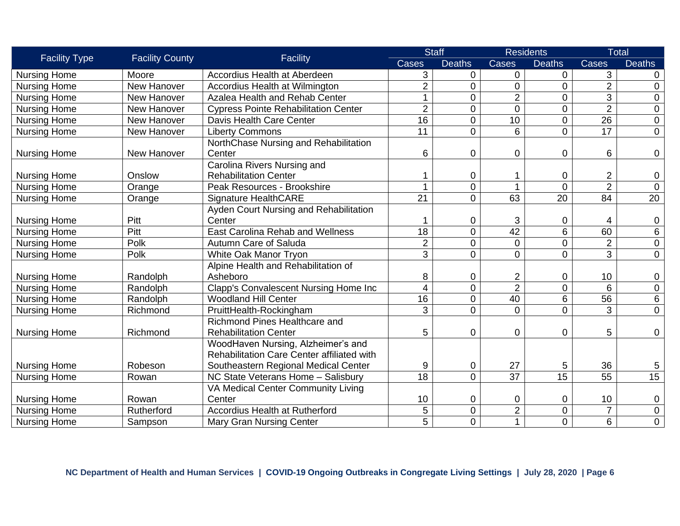| <b>Facility Type</b> | <b>Facility County</b> | Facility                                    |                 | <b>Staff</b>   | <b>Residents</b>        |                 | <b>Total</b>    |                 |
|----------------------|------------------------|---------------------------------------------|-----------------|----------------|-------------------------|-----------------|-----------------|-----------------|
|                      |                        |                                             | Cases           | <b>Deaths</b>  | Cases                   | <b>Deaths</b>   | Cases           | <b>Deaths</b>   |
| <b>Nursing Home</b>  | Moore                  | Accordius Health at Aberdeen                | 3               | $\mathbf 0$    | 0                       | 0               | 3               | 0               |
| <b>Nursing Home</b>  | New Hanover            | Accordius Health at Wilmington              | $\overline{2}$  | $\overline{0}$ | $\overline{0}$          | $\overline{0}$  | $\overline{2}$  | $\mathbf 0$     |
| <b>Nursing Home</b>  | New Hanover            | Azalea Health and Rehab Center              | $\mathbf 1$     | $\mathbf 0$    | $\overline{2}$          | $\mathbf 0$     | 3               | $\mathbf 0$     |
| <b>Nursing Home</b>  | New Hanover            | <b>Cypress Pointe Rehabilitation Center</b> | $\overline{2}$  | $\Omega$       | $\overline{0}$          | 0               | $\overline{2}$  | $\mathbf 0$     |
| <b>Nursing Home</b>  | New Hanover            | Davis Health Care Center                    | 16              | $\Omega$       | 10                      | 0               | $\overline{26}$ | $\pmb{0}$       |
| <b>Nursing Home</b>  | New Hanover            | <b>Liberty Commons</b>                      | $\overline{11}$ | $\Omega$       | 6                       | $\overline{0}$  | 17              | $\overline{0}$  |
|                      |                        | NorthChase Nursing and Rehabilitation       |                 |                |                         |                 |                 |                 |
| <b>Nursing Home</b>  | New Hanover            | Center                                      | 6               | $\overline{0}$ | 0                       | $\mathbf 0$     | 6               | $\mathbf 0$     |
|                      |                        | Carolina Rivers Nursing and                 |                 |                |                         |                 |                 |                 |
| <b>Nursing Home</b>  | Onslow                 | <b>Rehabilitation Center</b>                |                 | $\Omega$       |                         | 0               | $\overline{2}$  | $\mathbf 0$     |
| <b>Nursing Home</b>  | Orange                 | Peak Resources - Brookshire                 | 1               | $\overline{0}$ |                         | $\mathbf 0$     | $\overline{2}$  | $\mathbf 0$     |
| <b>Nursing Home</b>  | Orange                 | <b>Signature HealthCARE</b>                 | $\overline{21}$ | $\Omega$       | 63                      | $\overline{20}$ | 84              | $\overline{20}$ |
|                      |                        | Ayden Court Nursing and Rehabilitation      |                 |                |                         |                 |                 |                 |
| <b>Nursing Home</b>  | Pitt                   | Center                                      |                 | 0              | 3                       | 0               | 4               | $\mathbf 0$     |
| <b>Nursing Home</b>  | Pitt                   | <b>East Carolina Rehab and Wellness</b>     | 18              | $\overline{0}$ | $\overline{42}$         | 6               | 60              | 6               |
| <b>Nursing Home</b>  | Polk                   | Autumn Care of Saluda                       | $\overline{2}$  | $\overline{0}$ | $\mathbf 0$             | 0               | $\overline{2}$  | $\mathbf 0$     |
| <b>Nursing Home</b>  | Polk                   | White Oak Manor Tryon                       | 3               | $\Omega$       | $\overline{0}$          | $\overline{0}$  | 3               | $\mathbf 0$     |
|                      |                        | Alpine Health and Rehabilitation of         |                 |                |                         |                 |                 |                 |
| <b>Nursing Home</b>  | Randolph               | Asheboro                                    | 8               | 0              | $\overline{\mathbf{c}}$ | 0               | 10              | $\mathbf 0$     |
| <b>Nursing Home</b>  | Randolph               | Clapp's Convalescent Nursing Home Inc       | $\overline{4}$  | $\overline{0}$ | $\overline{2}$          | $\mathbf 0$     | 6               | $\pmb{0}$       |
| <b>Nursing Home</b>  | Randolph               | <b>Woodland Hill Center</b>                 | $\overline{16}$ | $\Omega$       | 40                      | 6               | 56              | $6\phantom{a}$  |
| <b>Nursing Home</b>  | Richmond               | PruittHealth-Rockingham                     | 3               | $\overline{0}$ | $\overline{0}$          | $\overline{0}$  | 3               | $\mathbf 0$     |
|                      |                        | <b>Richmond Pines Healthcare and</b>        |                 |                |                         |                 |                 |                 |
| <b>Nursing Home</b>  | Richmond               | <b>Rehabilitation Center</b>                | 5               | 0              | 0                       | 0               | 5               | $\overline{0}$  |
|                      |                        | WoodHaven Nursing, Alzheimer's and          |                 |                |                         |                 |                 |                 |
|                      |                        | Rehabilitation Care Center affiliated with  |                 |                |                         |                 |                 |                 |
| <b>Nursing Home</b>  | Robeson                | Southeastern Regional Medical Center        | 9               | $\mathbf 0$    | 27                      | 5               | 36              | 5               |
| <b>Nursing Home</b>  | Rowan                  | NC State Veterans Home - Salisbury          | $\overline{18}$ | $\overline{0}$ | 37                      | $\overline{15}$ | 55              | 15              |
|                      |                        | VA Medical Center Community Living          |                 |                |                         |                 |                 |                 |
| <b>Nursing Home</b>  | Rowan                  | Center                                      | 10              | 0              | 0                       | 0               | 10              | $\mathbf 0$     |
| <b>Nursing Home</b>  | Rutherford             | <b>Accordius Health at Rutherford</b>       | 5               | $\overline{0}$ | $\overline{2}$          | $\mathbf 0$     | $\overline{7}$  | $\mathbf 0$     |
| <b>Nursing Home</b>  | Sampson                | <b>Mary Gran Nursing Center</b>             | 5               | $\overline{0}$ |                         | 0               | 6               | $\mathbf 0$     |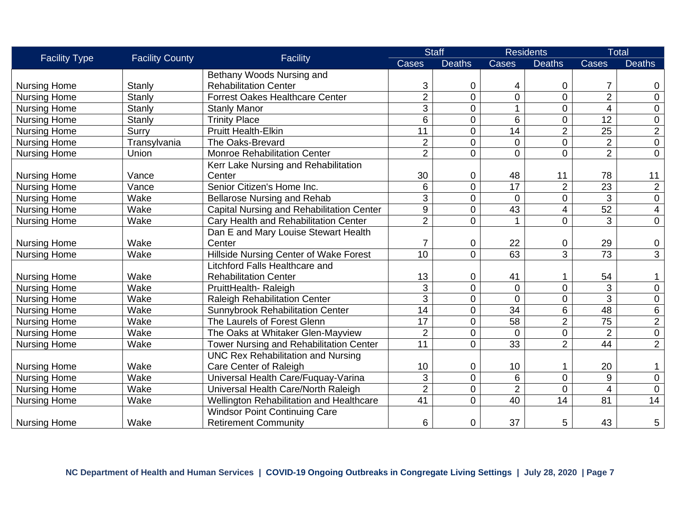| <b>Facility Type</b> | <b>Facility County</b> | Facility                                       |                 | <b>Staff</b>   |                 | <b>Residents</b> |                          | <b>Total</b>    |
|----------------------|------------------------|------------------------------------------------|-----------------|----------------|-----------------|------------------|--------------------------|-----------------|
|                      |                        |                                                | Cases           | <b>Deaths</b>  | Cases           | <b>Deaths</b>    | Cases                    | <b>Deaths</b>   |
|                      |                        | Bethany Woods Nursing and                      |                 |                |                 |                  |                          |                 |
| <b>Nursing Home</b>  | Stanly                 | <b>Rehabilitation Center</b>                   | 3               | $\mathbf 0$    | 4               | 0                | $\overline{7}$           | 0               |
| <b>Nursing Home</b>  | Stanly                 | <b>Forrest Oakes Healthcare Center</b>         | $\overline{2}$  | $\mathbf 0$    | 0               | 0                | $\overline{2}$           | $\overline{0}$  |
| <b>Nursing Home</b>  | Stanly                 | <b>Stanly Manor</b>                            | 3               | $\mathbf 0$    | 1               | $\mathbf 0$      | $\overline{\mathcal{A}}$ | $\mathbf 0$     |
| <b>Nursing Home</b>  | Stanly                 | <b>Trinity Place</b>                           | 6               | $\mathbf 0$    | 6               | $\mathbf 0$      | $\overline{12}$          | $\mathbf 0$     |
| <b>Nursing Home</b>  | Surry                  | <b>Pruitt Health-Elkin</b>                     | 11              | $\overline{0}$ | 14              | $\overline{2}$   | 25                       | $\overline{c}$  |
| <b>Nursing Home</b>  | Transylvania           | The Oaks-Brevard                               | $\overline{2}$  | $\overline{0}$ | $\overline{0}$  | 0                | $\overline{2}$           | $\overline{0}$  |
| <b>Nursing Home</b>  | Union                  | <b>Monroe Rehabilitation Center</b>            | $\overline{2}$  | $\overline{0}$ | $\overline{0}$  | $\overline{0}$   | $\overline{2}$           | $\mathbf 0$     |
|                      |                        | Kerr Lake Nursing and Rehabilitation           |                 |                |                 |                  |                          |                 |
| <b>Nursing Home</b>  | Vance                  | Center                                         | 30              | $\mathbf 0$    | 48              | 11               | 78                       | 11              |
| <b>Nursing Home</b>  | Vance                  | Senior Citizen's Home Inc.                     | 6               | $\overline{0}$ | $\overline{17}$ | $\overline{2}$   | 23                       | $\overline{2}$  |
| <b>Nursing Home</b>  | Wake                   | <b>Bellarose Nursing and Rehab</b>             | 3               | $\overline{0}$ | $\overline{0}$  | 0                | 3                        | $\overline{0}$  |
| <b>Nursing Home</b>  | Wake                   | Capital Nursing and Rehabilitation Center      | 9               | $\overline{0}$ | 43              | $\overline{4}$   | $\overline{52}$          | 4               |
| <b>Nursing Home</b>  | Wake                   | Cary Health and Rehabilitation Center          | $\overline{2}$  | $\overline{0}$ |                 | $\overline{0}$   | $\overline{3}$           | $\overline{0}$  |
|                      |                        | Dan E and Mary Louise Stewart Health           |                 |                |                 |                  |                          |                 |
| <b>Nursing Home</b>  | Wake                   | Center                                         | 7               | $\mathbf 0$    | 22              | $\mathbf 0$      | 29                       | $\mathbf 0$     |
| <b>Nursing Home</b>  | Wake                   | Hillside Nursing Center of Wake Forest         | 10              | $\overline{0}$ | 63              | 3                | 73                       | $\overline{3}$  |
|                      |                        | Litchford Falls Healthcare and                 |                 |                |                 |                  |                          |                 |
| <b>Nursing Home</b>  | Wake                   | <b>Rehabilitation Center</b>                   | 13              | $\mathbf 0$    | 41              |                  | 54                       |                 |
| <b>Nursing Home</b>  | Wake                   | PruittHealth-Raleigh                           | 3               | $\mathbf 0$    | $\mathbf 0$     | $\overline{0}$   | 3                        | $\pmb{0}$       |
| <b>Nursing Home</b>  | Wake                   | <b>Raleigh Rehabilitation Center</b>           | 3               | $\overline{0}$ | $\overline{0}$  | $\mathbf 0$      | $\overline{3}$           | $\mathbf 0$     |
| <b>Nursing Home</b>  | Wake                   | <b>Sunnybrook Rehabilitation Center</b>        | 14              | $\mathbf 0$    | 34              | 6                | 48                       | 6               |
| <b>Nursing Home</b>  | Wake                   | The Laurels of Forest Glenn                    | 17              | $\overline{0}$ | 58              | $\overline{2}$   | 75                       | $\overline{2}$  |
| <b>Nursing Home</b>  | Wake                   | The Oaks at Whitaker Glen-Mayview              | $\overline{2}$  | $\overline{0}$ | $\overline{0}$  | $\mathbf 0$      | $\overline{2}$           | $\overline{0}$  |
| <b>Nursing Home</b>  | Wake                   | <b>Tower Nursing and Rehabilitation Center</b> | 11              | $\overline{0}$ | 33              | $\overline{2}$   | 44                       | $\overline{2}$  |
|                      |                        | <b>UNC Rex Rehabilitation and Nursing</b>      |                 |                |                 |                  |                          |                 |
| <b>Nursing Home</b>  | Wake                   | Care Center of Raleigh                         | 10              | $\mathbf 0$    | 10              | 1                | 20                       | 1               |
| <b>Nursing Home</b>  | Wake                   | Universal Health Care/Fuquay-Varina            | 3               | $\overline{0}$ | 6               | $\overline{0}$   | 9                        | $\mathbf 0$     |
| <b>Nursing Home</b>  | Wake                   | Universal Health Care/North Raleigh            | $\overline{2}$  | $\mathbf 0$    | $\overline{2}$  | $\mathbf 0$      | $\overline{\mathbf{4}}$  | $\overline{0}$  |
| <b>Nursing Home</b>  | Wake                   | Wellington Rehabilitation and Healthcare       | $\overline{41}$ | $\overline{0}$ | $\overline{40}$ | 14               | 81                       | $\overline{14}$ |
|                      |                        | <b>Windsor Point Continuing Care</b>           |                 |                |                 |                  |                          |                 |
| <b>Nursing Home</b>  | Wake                   | <b>Retirement Community</b>                    | 6               | 0              | 37              | 5                | 43                       | 5               |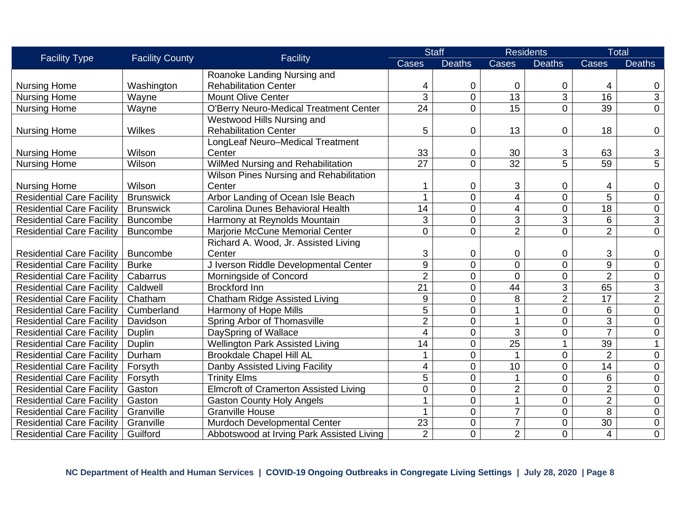| <b>Facility Type</b>             | <b>Facility County</b> | Facility                                      |                 | <b>Staff</b>   |                 | <b>Residents</b> |                 | <b>Total</b>   |
|----------------------------------|------------------------|-----------------------------------------------|-----------------|----------------|-----------------|------------------|-----------------|----------------|
|                                  |                        |                                               | <b>Cases</b>    | <b>Deaths</b>  | <b>Cases</b>    | <b>Deaths</b>    | Cases           | <b>Deaths</b>  |
|                                  |                        | Roanoke Landing Nursing and                   |                 |                |                 |                  |                 |                |
| <b>Nursing Home</b>              | Washington             | <b>Rehabilitation Center</b>                  | 4               | $\mathbf 0$    | 0               | 0                | 4               | 0              |
| <b>Nursing Home</b>              | Wayne                  | <b>Mount Olive Center</b>                     | $\overline{3}$  | $\mathbf 0$    | $\overline{13}$ | $\overline{3}$   | $\overline{16}$ | $\mathfrak{B}$ |
| <b>Nursing Home</b>              | Wayne                  | <b>O'Berry Neuro-Medical Treatment Center</b> | 24              | $\Omega$       | 15              | $\overline{0}$   | 39              | $\overline{0}$ |
|                                  |                        | Westwood Hills Nursing and                    |                 |                |                 |                  |                 |                |
| <b>Nursing Home</b>              | Wilkes                 | <b>Rehabilitation Center</b>                  | 5               | $\mathbf 0$    | 13              | 0                | 18              | $\mathbf 0$    |
|                                  |                        | LongLeaf Neuro-Medical Treatment              |                 |                |                 |                  |                 |                |
| <b>Nursing Home</b>              | Wilson                 | Center                                        | 33              | $\mathbf 0$    | 30              | 3                | 63              | $\mathfrak{S}$ |
| <b>Nursing Home</b>              | Wilson                 | WilMed Nursing and Rehabilitation             | $\overline{27}$ | $\overline{0}$ | $\overline{32}$ | $\overline{5}$   | $\overline{59}$ | $\overline{5}$ |
|                                  |                        | Wilson Pines Nursing and Rehabilitation       |                 |                |                 |                  |                 |                |
| <b>Nursing Home</b>              | Wilson                 | Center                                        |                 | $\mathbf 0$    | 3               | 0                | 4               | $\mathbf 0$    |
| <b>Residential Care Facility</b> | <b>Brunswick</b>       | Arbor Landing of Ocean Isle Beach             | 1               | $\overline{0}$ | $\overline{4}$  | $\overline{0}$   | $\overline{5}$  | $\mathbf 0$    |
| <b>Residential Care Facility</b> | <b>Brunswick</b>       | Carolina Dunes Behavioral Health              | 14              | $\mathbf 0$    | 4               | $\mathbf 0$      | 18              | $\mathbf 0$    |
| <b>Residential Care Facility</b> | <b>Buncombe</b>        | Harmony at Reynolds Mountain                  | 3               | $\overline{0}$ | 3               | 3                | 6               | 3              |
| <b>Residential Care Facility</b> | <b>Buncombe</b>        | Marjorie McCune Memorial Center               | $\overline{0}$  | $\overline{0}$ | $\overline{2}$  | $\overline{0}$   | $\overline{2}$  | $\mathbf 0$    |
|                                  |                        | Richard A. Wood, Jr. Assisted Living          |                 |                |                 |                  |                 |                |
| <b>Residential Care Facility</b> | <b>Buncombe</b>        | Center                                        | 3               | $\mathbf 0$    | 0               | 0                | 3               | $\mathbf 0$    |
| <b>Residential Care Facility</b> | <b>Burke</b>           | J Iverson Riddle Developmental Center         | 9               | $\overline{0}$ | $\overline{0}$  | $\mathbf 0$      | $\overline{9}$  | $\mathbf 0$    |
| <b>Residential Care Facility</b> | Cabarrus               | Morningside of Concord                        | $\overline{2}$  | $\mathbf 0$    | $\overline{0}$  | $\mathbf 0$      | $\overline{2}$  | $\mathbf 0$    |
| <b>Residential Care Facility</b> | Caldwell               | <b>Brockford Inn</b>                          | 21              | $\overline{0}$ | 44              | 3                | 65              | 3              |
| <b>Residential Care Facility</b> | Chatham                | Chatham Ridge Assisted Living                 | 9               | $\overline{0}$ | 8               | $\overline{2}$   | 17              | $\overline{2}$ |
| <b>Residential Care Facility</b> | Cumberland             | Harmony of Hope Mills                         | 5               | $\mathbf 0$    | 1               | $\mathbf 0$      | 6               | $\mathbf 0$    |
| <b>Residential Care Facility</b> | Davidson               | Spring Arbor of Thomasville                   | $\overline{2}$  | $\overline{0}$ | 1               | $\overline{0}$   | 3               | $\mathbf 0$    |
| <b>Residential Care Facility</b> | Duplin                 | DaySpring of Wallace                          | 4               | $\mathbf 0$    | 3               | $\mathbf 0$      | $\overline{7}$  | $\mathbf 0$    |
| <b>Residential Care Facility</b> | Duplin                 | <b>Wellington Park Assisted Living</b>        | 14              | $\pmb{0}$      | $\overline{25}$ | 1                | 39              | $\mathbf{1}$   |
| <b>Residential Care Facility</b> | Durham                 | <b>Brookdale Chapel Hill AL</b>               |                 | $\overline{0}$ |                 | $\overline{0}$   | $\overline{2}$  | $\mathbf 0$    |
| <b>Residential Care Facility</b> | Forsyth                | Danby Assisted Living Facility                | 4               | $\overline{0}$ | 10              | $\overline{0}$   | 14              | $\mathbf 0$    |
| <b>Residential Care Facility</b> | Forsyth                | <b>Trinity Elms</b>                           | 5               | $\mathbf 0$    | 1               | $\overline{0}$   | 6               | $\mathbf 0$    |
| <b>Residential Care Facility</b> | Gaston                 | <b>Elmcroft of Cramerton Assisted Living</b>  | $\overline{0}$  | $\mathbf 0$    | $\overline{c}$  | $\mathbf 0$      | $\overline{2}$  | $\mathbf 0$    |
| <b>Residential Care Facility</b> | Gaston                 | <b>Gaston County Holy Angels</b>              |                 | $\overline{0}$ | 1               | $\overline{0}$   | $\overline{2}$  | $\mathbf 0$    |
| <b>Residential Care Facility</b> | Granville              | <b>Granville House</b>                        |                 | $\mathbf 0$    | $\overline{7}$  | $\overline{0}$   | $\overline{8}$  | $\mathbf 0$    |
| <b>Residential Care Facility</b> | Granville              | Murdoch Developmental Center                  | 23              | $\mathbf 0$    | $\overline{7}$  | 0                | 30              | $\mathbf 0$    |
| <b>Residential Care Facility</b> | Guilford               | Abbotswood at Irving Park Assisted Living     | $\overline{2}$  | 0              | $\overline{2}$  | $\overline{0}$   | 4               | $\mathbf 0$    |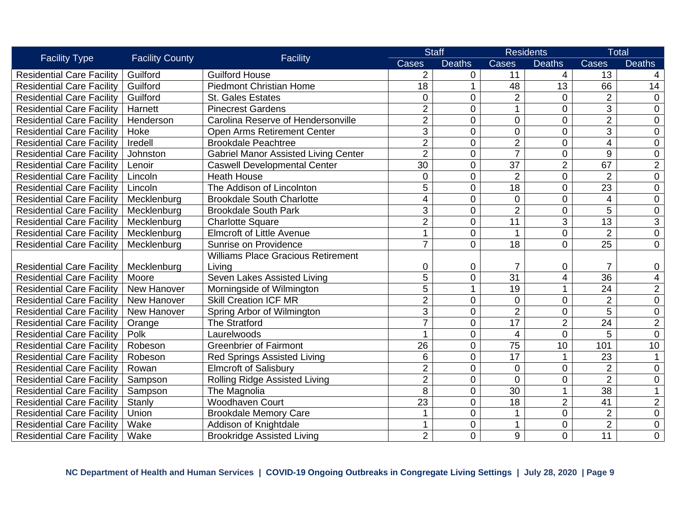| <b>Facility Type</b>             | <b>Facility County</b> | Facility                                    | <b>Staff</b>   |                | <b>Residents</b> |                | <b>Total</b>    |                          |
|----------------------------------|------------------------|---------------------------------------------|----------------|----------------|------------------|----------------|-----------------|--------------------------|
|                                  |                        |                                             | Cases          | <b>Deaths</b>  | <b>Cases</b>     | <b>Deaths</b>  | Cases           | <b>Deaths</b>            |
| <b>Residential Care Facility</b> | Guilford               | <b>Guilford House</b>                       | $\overline{2}$ | 0              | 11               | 4              | 13              | 4                        |
| <b>Residential Care Facility</b> | Guilford               | <b>Piedmont Christian Home</b>              | 18             | $\mathbf 1$    | 48               | 13             | 66              | 14                       |
| <b>Residential Care Facility</b> | Guilford               | <b>St. Gales Estates</b>                    | $\overline{0}$ | $\overline{0}$ | $\overline{2}$   | $\overline{0}$ | $\overline{2}$  | $\mathbf 0$              |
| <b>Residential Care Facility</b> | Harnett                | <b>Pinecrest Gardens</b>                    | $\overline{2}$ | $\mathbf 0$    | 1                | $\overline{0}$ | 3               | $\overline{0}$           |
| <b>Residential Care Facility</b> | Henderson              | Carolina Reserve of Hendersonville          | $\overline{2}$ | $\mathbf 0$    | $\overline{0}$   | 0              | $\overline{2}$  | $\overline{0}$           |
| <b>Residential Care Facility</b> | Hoke                   | <b>Open Arms Retirement Center</b>          | 3              | $\mathbf 0$    | $\mathbf 0$      | $\mathbf 0$    | 3               | $\mathbf 0$              |
| <b>Residential Care Facility</b> | Iredell                | <b>Brookdale Peachtree</b>                  | $\overline{2}$ | $\mathbf 0$    | $\overline{2}$   | $\overline{0}$ | 4               | $\mathbf 0$              |
| <b>Residential Care Facility</b> | Johnston               | <b>Gabriel Manor Assisted Living Center</b> | $\overline{2}$ | $\mathbf 0$    | $\overline{7}$   | $\mathbf 0$    | 9               | $\mathbf 0$              |
| <b>Residential Care Facility</b> | Lenoir                 | <b>Caswell Developmental Center</b>         | 30             | $\mathbf 0$    | 37               | $\overline{2}$ | 67              | $\overline{2}$           |
| <b>Residential Care Facility</b> | Lincoln                | <b>Heath House</b>                          | $\overline{0}$ | $\overline{0}$ | $\overline{2}$   | 0              | $\overline{2}$  | $\mathbf 0$              |
| <b>Residential Care Facility</b> | Lincoln                | The Addison of Lincolnton                   | 5              | $\overline{0}$ | 18               | $\overline{0}$ | 23              | $\overline{0}$           |
| <b>Residential Care Facility</b> | Mecklenburg            | <b>Brookdale South Charlotte</b>            | 4              | $\overline{0}$ | $\mathbf 0$      | $\overline{0}$ | 4               | $\mathbf 0$              |
| <b>Residential Care Facility</b> | Mecklenburg            | <b>Brookdale South Park</b>                 | 3              | $\overline{0}$ | $\overline{2}$   | $\overline{0}$ | $\overline{5}$  | $\mathbf 0$              |
| <b>Residential Care Facility</b> | Mecklenburg            | <b>Charlotte Square</b>                     | $\overline{2}$ | $\mathbf 0$    | 11               | 3              | $\overline{13}$ | 3                        |
| <b>Residential Care Facility</b> | Mecklenburg            | <b>Elmcroft of Little Avenue</b>            |                | $\overline{0}$ |                  | $\overline{0}$ | $\overline{2}$  | $\mathbf 0$              |
| <b>Residential Care Facility</b> | Mecklenburg            | Sunrise on Providence                       | 7              | $\Omega$       | 18               | $\overline{0}$ | 25              | $\mathbf 0$              |
|                                  |                        | <b>Williams Place Gracious Retirement</b>   |                |                |                  |                |                 |                          |
| <b>Residential Care Facility</b> | Mecklenburg            | Living                                      | 0              | $\mathbf 0$    |                  | 0              | $\overline{7}$  | $\boldsymbol{0}$         |
| <b>Residential Care Facility</b> | Moore                  | Seven Lakes Assisted Living                 | $\overline{5}$ | $\mathbf 0$    | $\overline{31}$  | 4              | 36              | $\overline{\mathcal{A}}$ |
| <b>Residential Care Facility</b> | New Hanover            | Morningside of Wilmington                   | 5              | 1              | 19               | $\mathbf{1}$   | 24              | $\overline{2}$           |
| <b>Residential Care Facility</b> | New Hanover            | <b>Skill Creation ICF MR</b>                | $\overline{2}$ | $\mathbf 0$    | $\mathbf 0$      | $\mathbf 0$    | $\overline{2}$  | $\mathbf 0$              |
| <b>Residential Care Facility</b> | New Hanover            | Spring Arbor of Wilmington                  | 3              | $\mathbf 0$    | $\overline{2}$   | $\overline{0}$ | $\overline{5}$  | $\boldsymbol{0}$         |
| <b>Residential Care Facility</b> | Orange                 | <b>The Stratford</b>                        |                | $\mathbf 0$    | $\overline{17}$  | $\overline{2}$ | $\overline{24}$ | $\overline{2}$           |
| <b>Residential Care Facility</b> | Polk                   | Laurelwoods                                 |                | $\overline{0}$ | $\overline{4}$   | $\overline{0}$ | 5               | $\mathbf 0$              |
| <b>Residential Care Facility</b> | Robeson                | <b>Greenbrier of Fairmont</b>               | 26             | $\overline{0}$ | 75               | 10             | 101             | 10                       |
| <b>Residential Care Facility</b> | Robeson                | <b>Red Springs Assisted Living</b>          | 6              | $\mathbf 0$    | 17               | $\mathbf{1}$   | 23              |                          |
| <b>Residential Care Facility</b> | Rowan                  | Elmcroft of Salisbury                       | $\overline{2}$ | $\mathbf 0$    | $\mathbf 0$      | $\overline{0}$ | $\overline{2}$  | $\mathbf 0$              |
| <b>Residential Care Facility</b> | Sampson                | Rolling Ridge Assisted Living               | $\overline{2}$ | $\overline{0}$ | $\overline{0}$   | $\overline{0}$ | $\overline{2}$  | $\pmb{0}$                |
| <b>Residential Care Facility</b> | Sampson                | The Magnolia                                | 8              | $\mathbf 0$    | 30               | $\mathbf{1}$   | 38              | 1                        |
| <b>Residential Care Facility</b> | Stanly                 | <b>Woodhaven Court</b>                      | 23             | $\mathbf 0$    | 18               | $\overline{2}$ | $\overline{41}$ | $\overline{2}$           |
| <b>Residential Care Facility</b> | Union                  | <b>Brookdale Memory Care</b>                |                | $\overline{0}$ | 1                | $\overline{0}$ | $\overline{2}$  | $\mathbf 0$              |
| <b>Residential Care Facility</b> | Wake                   | Addison of Knightdale                       | 1              | $\overline{0}$ | 1                | $\overline{0}$ | $\overline{2}$  | $\mathbf 0$              |
| <b>Residential Care Facility</b> | Wake                   | <b>Brookridge Assisted Living</b>           | $\overline{2}$ | $\overline{0}$ | 9                | $\overline{0}$ | 11              | $\mathbf 0$              |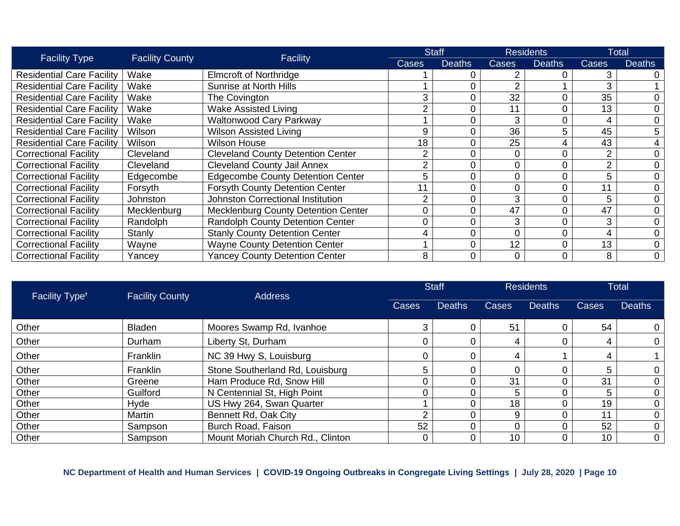| <b>Facility Type</b>             | <b>Facility County</b> |                                            |       | <b>Staff</b>  | <b>Residents</b> |               | <b>Total</b>   |               |
|----------------------------------|------------------------|--------------------------------------------|-------|---------------|------------------|---------------|----------------|---------------|
|                                  |                        | Facility                                   | Cases | <b>Deaths</b> | Cases            | <b>Deaths</b> | Cases          | <b>Deaths</b> |
| <b>Residential Care Facility</b> | Wake                   | <b>Elmcroft of Northridge</b>              |       |               |                  |               | 3              |               |
| <b>Residential Care Facility</b> | Wake                   | Sunrise at North Hills                     |       |               |                  |               | 3              |               |
| <b>Residential Care Facility</b> | Wake                   | The Covington                              | 3     |               | 32               |               | 35             | 0             |
| <b>Residential Care Facility</b> | Wake                   | <b>Wake Assisted Living</b>                |       |               |                  |               | 13             | 0             |
| <b>Residential Care Facility</b> | Wake                   | <b>Waltonwood Cary Parkway</b>             |       |               | 3                |               | 4              | 0             |
| <b>Residential Care Facility</b> | Wilson                 | <b>Wilson Assisted Living</b>              | 9     |               | 36               | 5             | 45             | 5             |
| <b>Residential Care Facility</b> | Wilson                 | <b>Wilson House</b>                        | 18    |               | 25               |               | 43             | 4             |
| <b>Correctional Facility</b>     | Cleveland              | <b>Cleveland County Detention Center</b>   |       |               |                  |               | $\overline{2}$ | 0             |
| <b>Correctional Facility</b>     | Cleveland              | <b>Cleveland County Jail Annex</b>         |       |               |                  |               | $\overline{2}$ | 0             |
| <b>Correctional Facility</b>     | Edgecombe              | <b>Edgecombe County Detention Center</b>   | 5     |               |                  |               | 5              | 0             |
| <b>Correctional Facility</b>     | Forsyth                | <b>Forsyth County Detention Center</b>     |       |               |                  |               | 11             | 0             |
| <b>Correctional Facility</b>     | Johnston               | <b>Johnston Correctional Institution</b>   |       |               | 3                |               | 5              | 0             |
| <b>Correctional Facility</b>     | Mecklenburg            | <b>Mecklenburg County Detention Center</b> |       |               | 47               |               | 47             | 0             |
| <b>Correctional Facility</b>     | Randolph               | <b>Randolph County Detention Center</b>    |       |               | 3                |               | 3              | 0             |
| <b>Correctional Facility</b>     | Stanly                 | <b>Stanly County Detention Center</b>      |       |               |                  |               | 4              | 0             |
| <b>Correctional Facility</b>     | Wayne                  | <b>Wayne County Detention Center</b>       |       |               | 12               |               | 13             | 0             |
| <b>Correctional Facility</b>     | Yancey                 | <b>Yancey County Detention Center</b>      | 8     |               |                  |               | 8              | 0             |

| Facility Type <sup>+</sup> | <b>Facility County</b> | <b>Address</b>                   | <b>Staff</b> |               | <b>Residents</b> |               | <b>Total</b> |               |
|----------------------------|------------------------|----------------------------------|--------------|---------------|------------------|---------------|--------------|---------------|
|                            |                        |                                  | Cases        | <b>Deaths</b> | <b>Cases</b>     | <b>Deaths</b> | Cases        | <b>Deaths</b> |
| Other                      | <b>Bladen</b>          | Moores Swamp Rd, Ivanhoe         |              |               | 51               |               | 54           | 0             |
| Other                      | Durham                 | Liberty St, Durham               |              |               |                  |               | 4            | 0             |
| Other                      | Franklin               | NC 39 Hwy S, Louisburg           |              |               |                  |               | 4            |               |
| Other                      | Franklin               | Stone Southerland Rd, Louisburg  |              |               |                  |               | 5            |               |
| Other                      | Greene                 | Ham Produce Rd, Snow Hill        |              |               | 31               |               | 31           |               |
| Other                      | Guilford               | N Centennial St, High Point      |              |               | 5                |               | 5            |               |
| Other                      | Hyde                   | US Hwy 264, Swan Quarter         |              |               | 18               |               | 19           | 0             |
| Other                      | Martin                 | Bennett Rd, Oak City             |              |               |                  |               | 11           |               |
| Other                      | Sampson                | Burch Road, Faison               | 52           |               |                  |               | 52           | 0             |
| Other                      | Sampson                | Mount Moriah Church Rd., Clinton |              |               | 10               |               | 10           | 0             |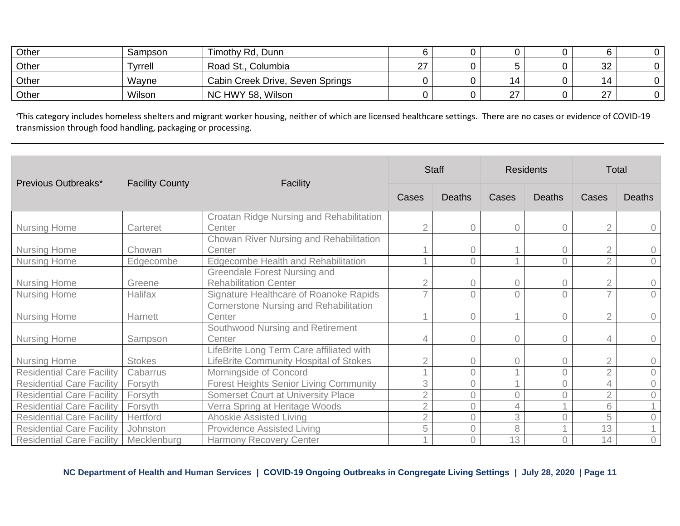| Other | Sampson | Timothy Rd, Dunn                 |        |         |      |  |
|-------|---------|----------------------------------|--------|---------|------|--|
| Other | Tyrrell | Road St., Columbia               | $\sim$ |         | 32   |  |
| Other | Wayne   | Cabin Creek Drive, Seven Springs |        |         | 14   |  |
| Other | Wilson  | NC HWY 58, Wilson                |        | n7<br>▵ | - 27 |  |

<sup>ꬷ</sup>This category includes homeless shelters and migrant worker housing, neither of which are licensed healthcare settings. There are no cases or evidence of COVID-19 transmission through food handling, packaging or processing.

|                                  |                        |                                               |                | <b>Staff</b>   |                | <b>Residents</b> |                | <b>Total</b>        |
|----------------------------------|------------------------|-----------------------------------------------|----------------|----------------|----------------|------------------|----------------|---------------------|
| Previous Outbreaks*              | <b>Facility County</b> | Facility                                      | Cases          | <b>Deaths</b>  | Cases          | <b>Deaths</b>    | Cases          | <b>Deaths</b>       |
|                                  |                        | Croatan Ridge Nursing and Rehabilitation      |                |                |                |                  |                |                     |
| <b>Nursing Home</b>              | Carteret               | Center                                        | $\overline{2}$ | 0              | $\circ$        | $\overline{0}$   |                | $\mathbf 0$         |
|                                  |                        | Chowan River Nursing and Rehabilitation       |                |                |                |                  |                |                     |
| <b>Nursing Home</b>              | Chowan                 | Center                                        |                | 0              |                | $\Omega$         |                | $\circ$             |
| <b>Nursing Home</b>              | Edgecombe              | <b>Edgecombe Health and Rehabilitation</b>    |                | 0              |                | $\Omega$         | $\overline{2}$ | $\overline{0}$      |
|                                  |                        | Greendale Forest Nursing and                  |                |                |                |                  |                |                     |
| <b>Nursing Home</b>              | Greene                 | <b>Rehabilitation Center</b>                  | $\overline{2}$ | 0              | $\mathbf 0$    | $\overline{0}$   | $\overline{2}$ | $\circ$             |
| <b>Nursing Home</b>              | Halifax                | Signature Healthcare of Roanoke Rapids        | $\overline{7}$ | $\Omega$       | $\overline{0}$ | $\Omega$         |                | $\circ$             |
|                                  |                        | Cornerstone Nursing and Rehabilitation        |                |                |                |                  |                |                     |
| <b>Nursing Home</b>              | Harnett                | Center                                        |                | 0              |                | $\overline{0}$   |                | $\circlearrowright$ |
|                                  |                        | Southwood Nursing and Retirement              |                |                |                |                  |                |                     |
| <b>Nursing Home</b>              | Sampson                | Center                                        | 4              | $\overline{0}$ | $\mathcal O$   | $\overline{0}$   | 4              | $\circ$             |
|                                  |                        | LifeBrite Long Term Care affiliated with      |                |                |                |                  |                |                     |
| <b>Nursing Home</b>              | <b>Stokes</b>          | LifeBrite Community Hospital of Stokes        | $\overline{2}$ | 0              | 0              | $\sqrt{a}$       | $\overline{2}$ | $\circ$             |
| <b>Residential Care Facility</b> | Cabarrus               | Morningside of Concord                        | $\overline{A}$ | 0              | 1              | $\overline{0}$   | $\overline{2}$ | $\circ$             |
| <b>Residential Care Facility</b> | Forsyth                | <b>Forest Heights Senior Living Community</b> | 3              | $\Omega$       | 4              | $\bigcap$        | 4              | $\mathbf 0$         |
| <b>Residential Care Facility</b> | Forsyth                | <b>Somerset Court at University Place</b>     | $\overline{2}$ | 0              | $\overline{0}$ | 0                | $\overline{2}$ | $\mathbf 0$         |
| <b>Residential Care Facility</b> | Forsyth                | Verra Spring at Heritage Woods                | $\overline{2}$ | 0              | 4              |                  | 6              |                     |
| <b>Residential Care Facility</b> | Hertford               | Ahoskie Assisted Living                       | $\overline{2}$ | 0              | 3              |                  | 5              | $\sqrt{a}$          |
| <b>Residential Care Facility</b> | Johnston               | <b>Providence Assisted Living</b>             | 5              | $\overline{0}$ | 8              |                  | 13             |                     |
| <b>Residential Care Facility</b> | Mecklenburg            | <b>Harmony Recovery Center</b>                |                |                | 13             |                  | 14             | $\circ$             |